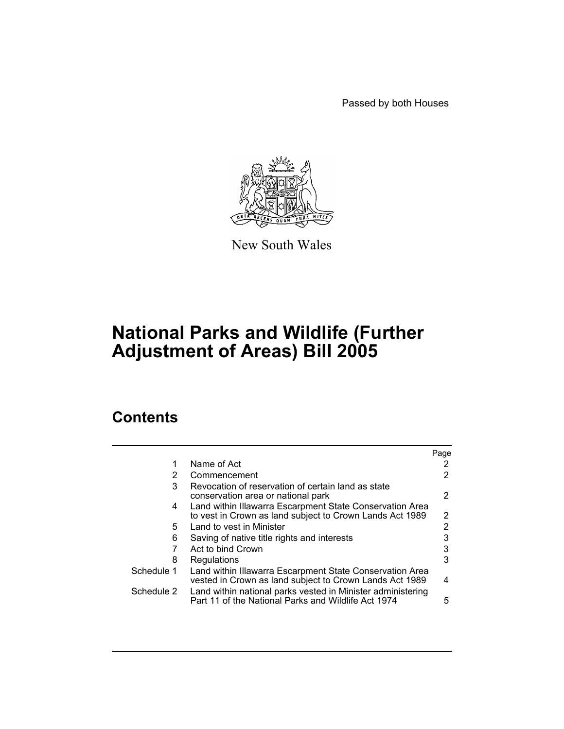Passed by both Houses



New South Wales

# **National Parks and Wildlife (Further Adjustment of Areas) Bill 2005**

# **Contents**

|                                                                                                                    | Page                                                                                                                 |
|--------------------------------------------------------------------------------------------------------------------|----------------------------------------------------------------------------------------------------------------------|
| Name of Act                                                                                                        | 2                                                                                                                    |
| Commencement                                                                                                       | 2                                                                                                                    |
| Revocation of reservation of certain land as state<br>conservation area or national park                           | 2                                                                                                                    |
| to vest in Crown as land subject to Crown Lands Act 1989                                                           | 2                                                                                                                    |
| Land to vest in Minister                                                                                           | 2                                                                                                                    |
| Saving of native title rights and interests                                                                        | 3                                                                                                                    |
| Act to bind Crown                                                                                                  | 3                                                                                                                    |
| Regulations                                                                                                        | 3                                                                                                                    |
| vested in Crown as land subject to Crown Lands Act 1989                                                            | 4                                                                                                                    |
| Land within national parks vested in Minister administering<br>Part 11 of the National Parks and Wildlife Act 1974 | 5                                                                                                                    |
|                                                                                                                    | Land within Illawarra Escarpment State Conservation Area<br>Land within Illawarra Escarpment State Conservation Area |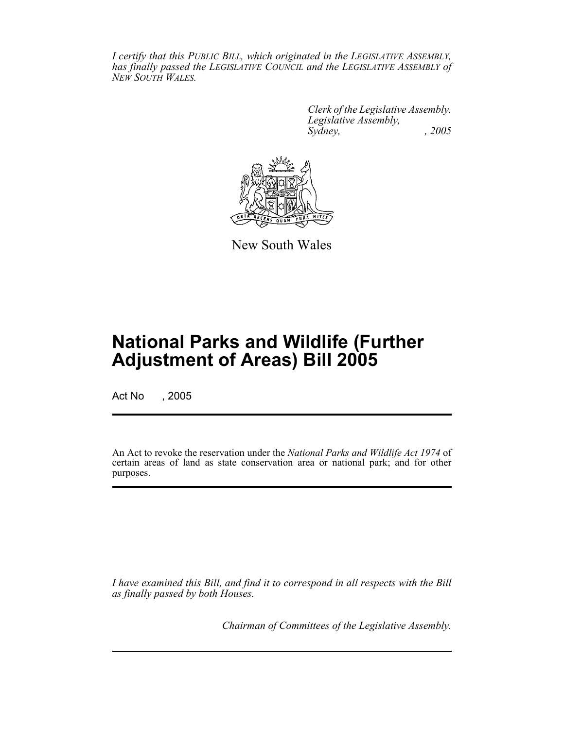*I certify that this PUBLIC BILL, which originated in the LEGISLATIVE ASSEMBLY, has finally passed the LEGISLATIVE COUNCIL and the LEGISLATIVE ASSEMBLY of NEW SOUTH WALES.*

> *Clerk of the Legislative Assembly. Legislative Assembly, Sydney, , 2005*



New South Wales

# **National Parks and Wildlife (Further Adjustment of Areas) Bill 2005**

Act No , 2005

An Act to revoke the reservation under the *National Parks and Wildlife Act 1974* of certain areas of land as state conservation area or national park; and for other purposes.

*I have examined this Bill, and find it to correspond in all respects with the Bill as finally passed by both Houses.*

*Chairman of Committees of the Legislative Assembly.*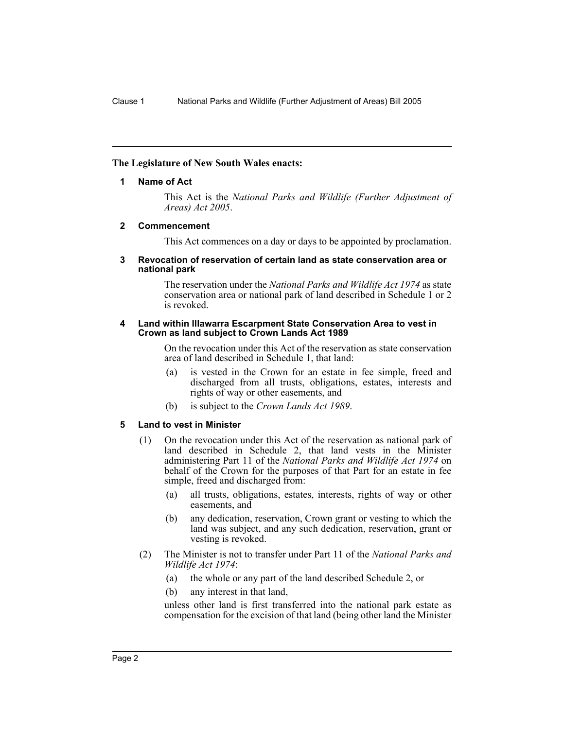### **The Legislature of New South Wales enacts:**

#### **1 Name of Act**

This Act is the *National Parks and Wildlife (Further Adjustment of Areas) Act 2005*.

#### **2 Commencement**

This Act commences on a day or days to be appointed by proclamation.

#### **3 Revocation of reservation of certain land as state conservation area or national park**

The reservation under the *National Parks and Wildlife Act 1974* as state conservation area or national park of land described in Schedule 1 or 2 is revoked.

#### **4 Land within Illawarra Escarpment State Conservation Area to vest in Crown as land subject to Crown Lands Act 1989**

On the revocation under this Act of the reservation as state conservation area of land described in Schedule 1, that land:

- (a) is vested in the Crown for an estate in fee simple, freed and discharged from all trusts, obligations, estates, interests and rights of way or other easements, and
- (b) is subject to the *Crown Lands Act 1989*.

## **5 Land to vest in Minister**

- (1) On the revocation under this Act of the reservation as national park of land described in Schedule 2, that land vests in the Minister administering Part 11 of the *National Parks and Wildlife Act 1974* on behalf of the Crown for the purposes of that Part for an estate in fee simple, freed and discharged from:
	- (a) all trusts, obligations, estates, interests, rights of way or other easements, and
	- (b) any dedication, reservation, Crown grant or vesting to which the land was subject, and any such dedication, reservation, grant or vesting is revoked.
- (2) The Minister is not to transfer under Part 11 of the *National Parks and Wildlife Act 1974*:
	- (a) the whole or any part of the land described Schedule 2, or
	- (b) any interest in that land,

unless other land is first transferred into the national park estate as compensation for the excision of that land (being other land the Minister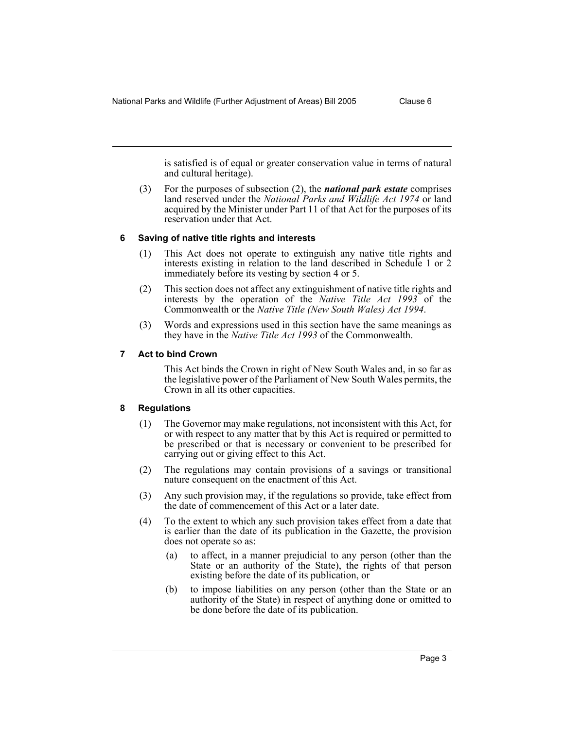is satisfied is of equal or greater conservation value in terms of natural and cultural heritage).

(3) For the purposes of subsection (2), the *national park estate* comprises land reserved under the *National Parks and Wildlife Act 1974* or land acquired by the Minister under Part 11 of that Act for the purposes of its reservation under that Act.

#### **6 Saving of native title rights and interests**

- (1) This Act does not operate to extinguish any native title rights and interests existing in relation to the land described in Schedule 1 or 2 immediately before its vesting by section 4 or 5.
- (2) This section does not affect any extinguishment of native title rights and interests by the operation of the *Native Title Act 1993* of the Commonwealth or the *Native Title (New South Wales) Act 1994*.
- (3) Words and expressions used in this section have the same meanings as they have in the *Native Title Act 1993* of the Commonwealth.

### **7 Act to bind Crown**

This Act binds the Crown in right of New South Wales and, in so far as the legislative power of the Parliament of New South Wales permits, the Crown in all its other capacities.

#### **8 Regulations**

- (1) The Governor may make regulations, not inconsistent with this Act, for or with respect to any matter that by this Act is required or permitted to be prescribed or that is necessary or convenient to be prescribed for carrying out or giving effect to this Act.
- (2) The regulations may contain provisions of a savings or transitional nature consequent on the enactment of this Act.
- (3) Any such provision may, if the regulations so provide, take effect from the date of commencement of this Act or a later date.
- (4) To the extent to which any such provision takes effect from a date that is earlier than the date of its publication in the Gazette, the provision does not operate so as:
	- (a) to affect, in a manner prejudicial to any person (other than the State or an authority of the State), the rights of that person existing before the date of its publication, or
	- (b) to impose liabilities on any person (other than the State or an authority of the State) in respect of anything done or omitted to be done before the date of its publication.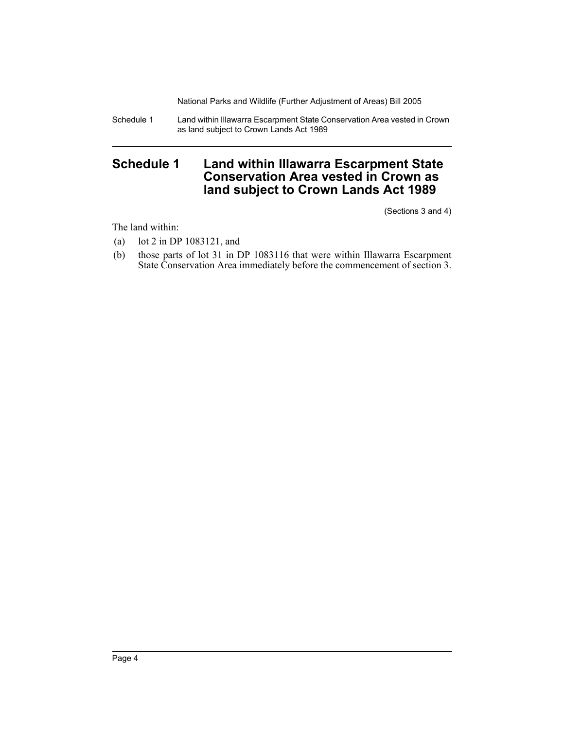National Parks and Wildlife (Further Adjustment of Areas) Bill 2005

Schedule 1 Land within Illawarra Escarpment State Conservation Area vested in Crown as land subject to Crown Lands Act 1989

# **Schedule 1 Land within Illawarra Escarpment State Conservation Area vested in Crown as land subject to Crown Lands Act 1989**

(Sections 3 and 4)

The land within:

- (a) lot 2 in DP 1083121, and
- (b) those parts of lot 31 in DP 1083116 that were within Illawarra Escarpment State Conservation Area immediately before the commencement of section 3.